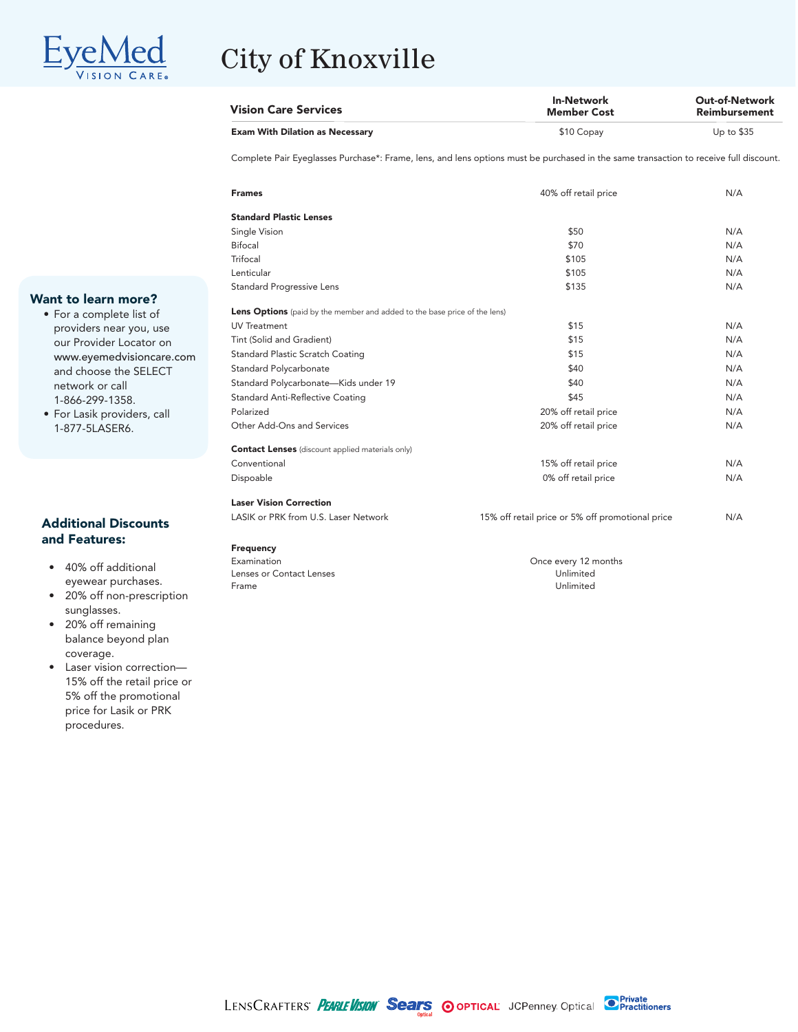

# City of Knoxville

| <b>Vision Care Services</b>            | <b>In-Network</b><br>Member Cost | <b>Out-of-Network</b><br>Reimbursement |
|----------------------------------------|----------------------------------|----------------------------------------|
| <b>Exam With Dilation as Necessary</b> | \$10 Copay                       | Up to $$35$                            |

Complete Pair Eyeglasses Purchase\*: Frame, lens, and lens options must be purchased in the same transaction to receive full discount.

| <b>Frames</b>                                                             | 40% off retail price                             | N/A |
|---------------------------------------------------------------------------|--------------------------------------------------|-----|
| <b>Standard Plastic Lenses</b>                                            |                                                  |     |
| Single Vision                                                             | \$50                                             | N/A |
| <b>Bifocal</b>                                                            | \$70                                             | N/A |
| Trifocal                                                                  | \$105                                            | N/A |
| Lenticular                                                                | \$105                                            | N/A |
| <b>Standard Progressive Lens</b>                                          | \$135                                            | N/A |
| Lens Options (paid by the member and added to the base price of the lens) |                                                  |     |
| <b>UV Treatment</b>                                                       | \$15                                             | N/A |
| Tint (Solid and Gradient)                                                 | \$15                                             | N/A |
| <b>Standard Plastic Scratch Coating</b>                                   | \$15                                             | N/A |
| <b>Standard Polycarbonate</b>                                             | \$40                                             | N/A |
| Standard Polycarbonate-Kids under 19                                      | \$40                                             | N/A |
| <b>Standard Anti-Reflective Coating</b>                                   | \$45                                             | N/A |
| Polarized                                                                 | 20% off retail price                             | N/A |
| Other Add-Ons and Services                                                | 20% off retail price                             | N/A |
| <b>Contact Lenses</b> (discount applied materials only)                   |                                                  |     |
| Conventional                                                              | 15% off retail price                             | N/A |
| Dispoable                                                                 | 0% off retail price                              | N/A |
| <b>Laser Vision Correction</b>                                            |                                                  |     |
| LASIK or PRK from U.S. Laser Network                                      | 15% off retail price or 5% off promotional price | N/A |
| Frequency                                                                 |                                                  |     |
| Examination                                                               | Once every 12 months                             |     |

Lenses or Contact Lenses **Executes** Unlimited Frame Unlimited Executive Unlimited Unlimited Unlimited Unlimited Unlimited Unlimited Unlimited Unlimited Unlimited Unlimited Unlimited Unlimited Unlimited Unlimited Unlimited Frame Unlimited

#### **Want to learn more?**

- For a complete list of providers near you, use our Provider Locator on www.eyemedvisioncare.com and choose the SELECT network or call 1-866-299-1358.
- For Lasik providers, call 1-877-5LASER6.

#### **Additional Discounts and Features:**

- 40% off additional eyewear purchases.
- 20% off non-prescription sunglasses.
- 20% off remaining balance beyond plan coverage.
- Laser vision correction— 15% off the retail price or 5% off the promotional price for Lasik or PRK procedures.